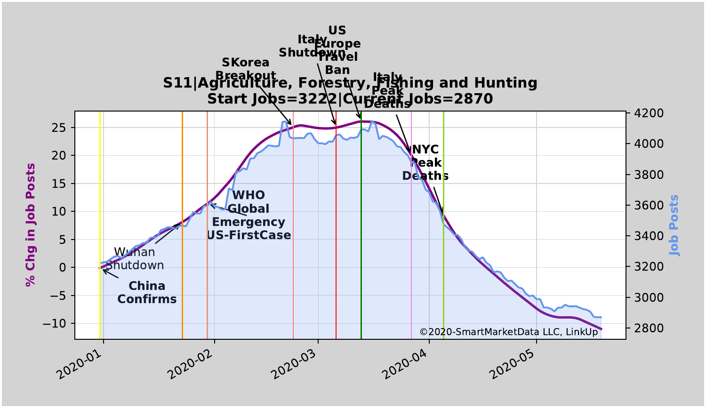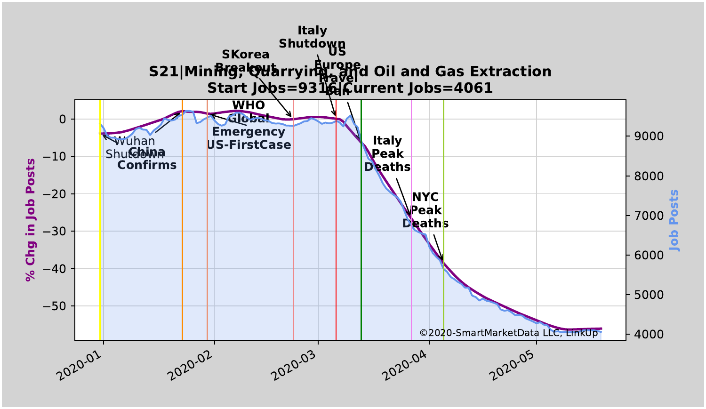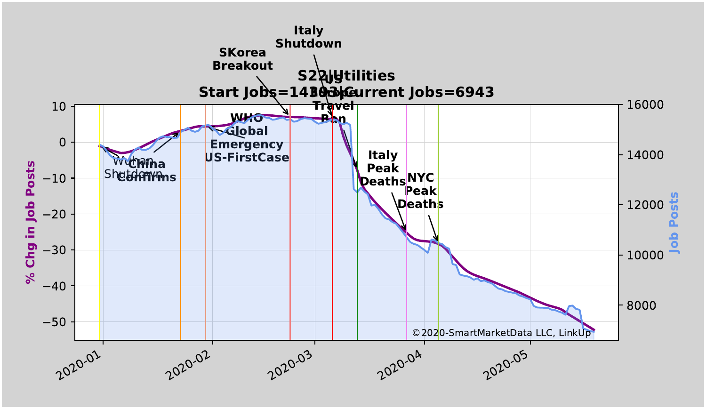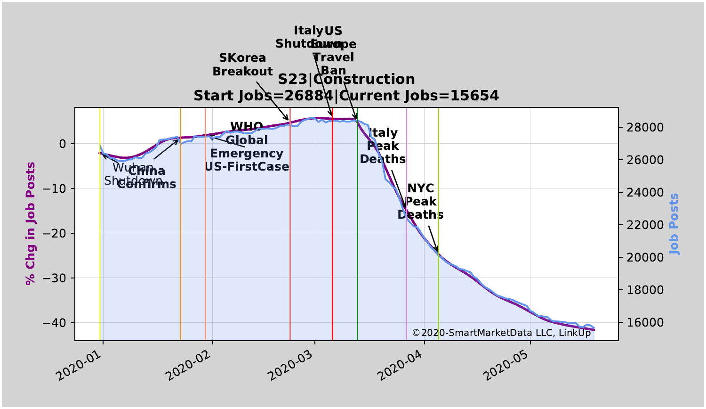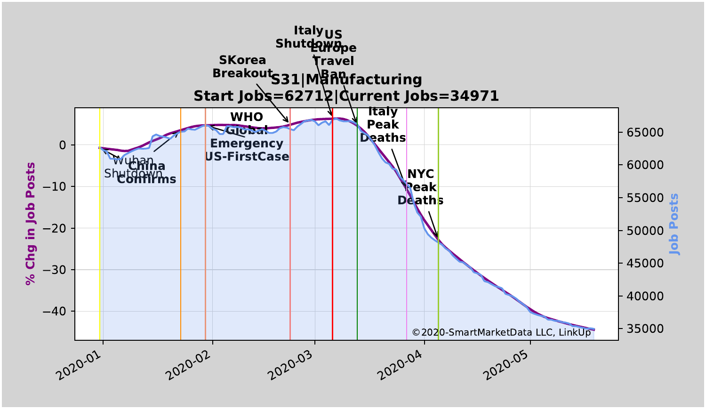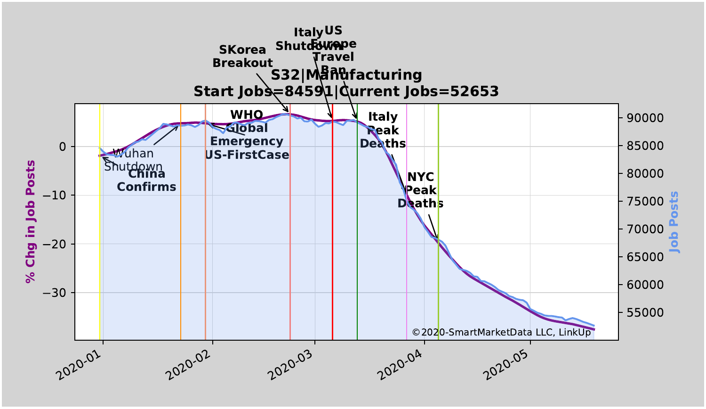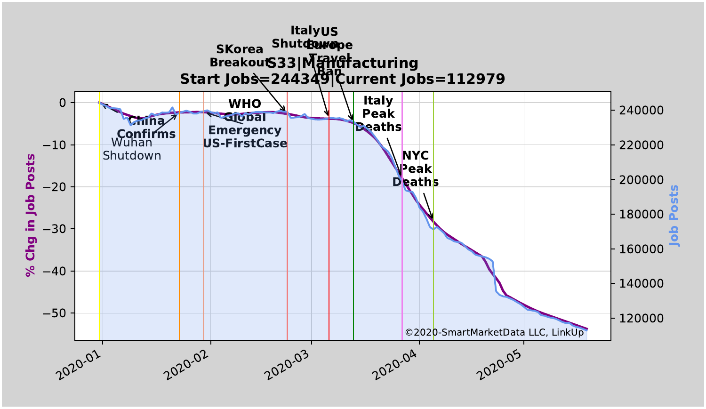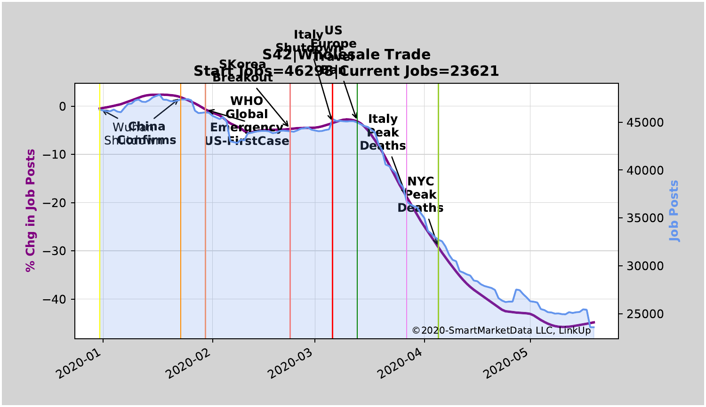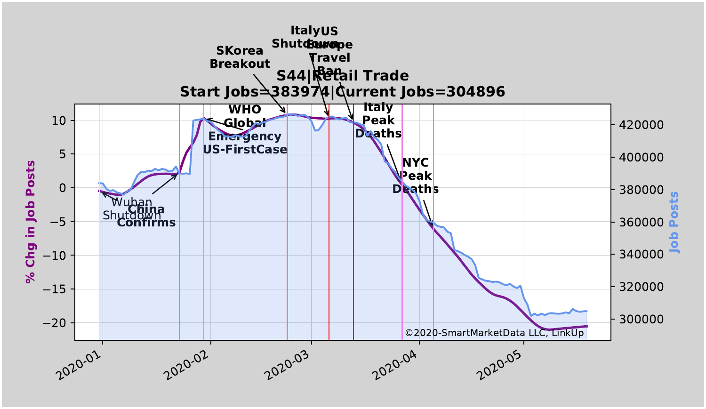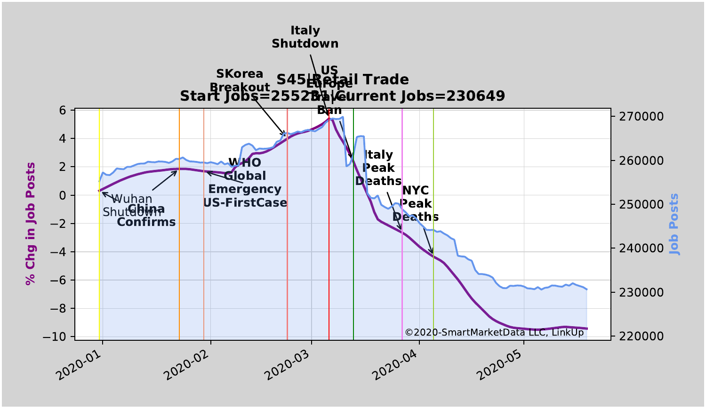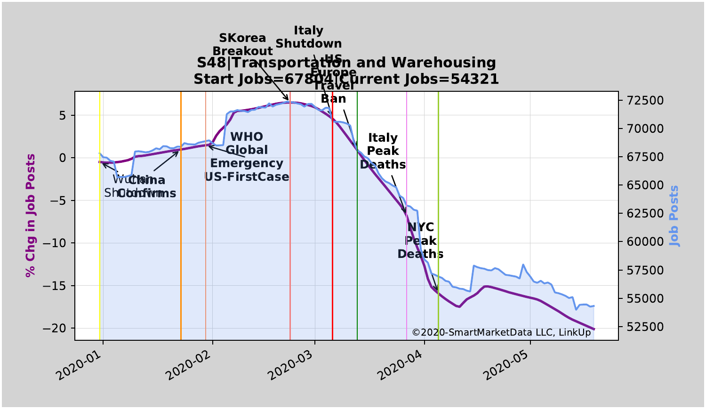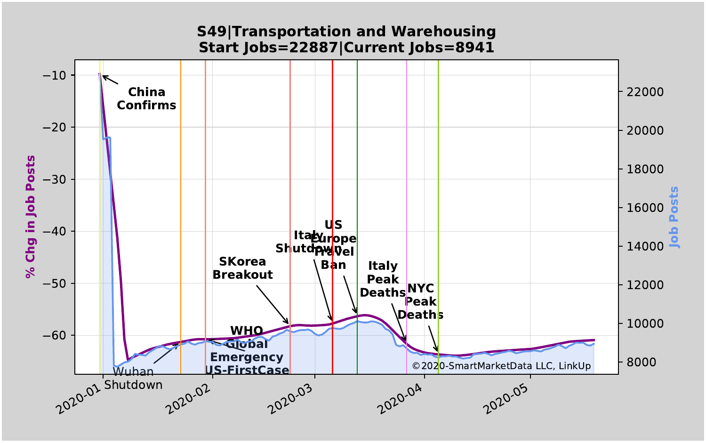## **S49|Transportation and Warehousing Start Jobs=22887|Current Jobs=8941**

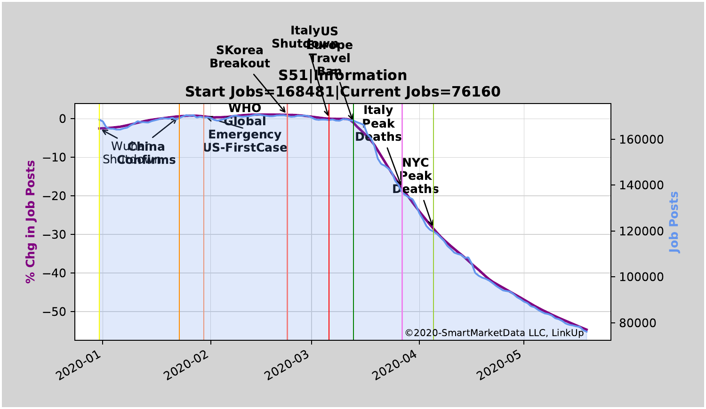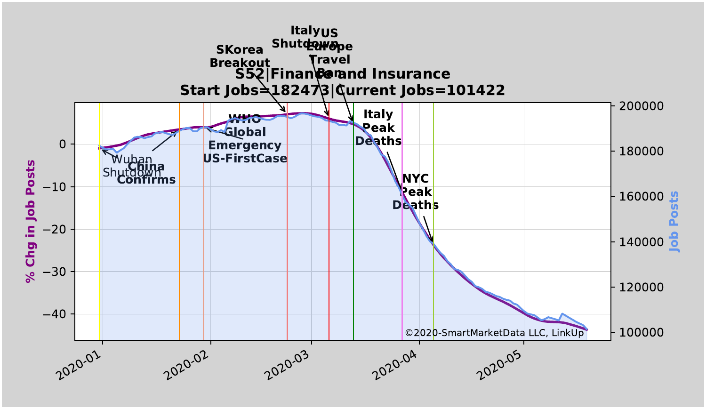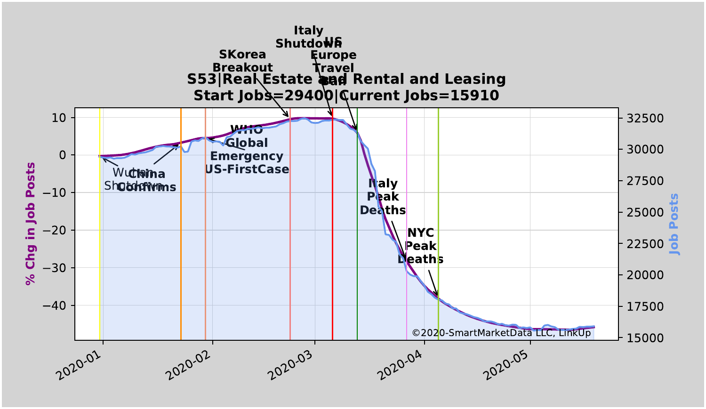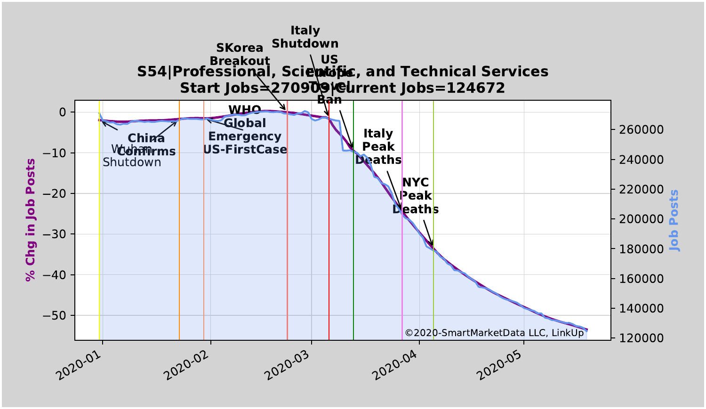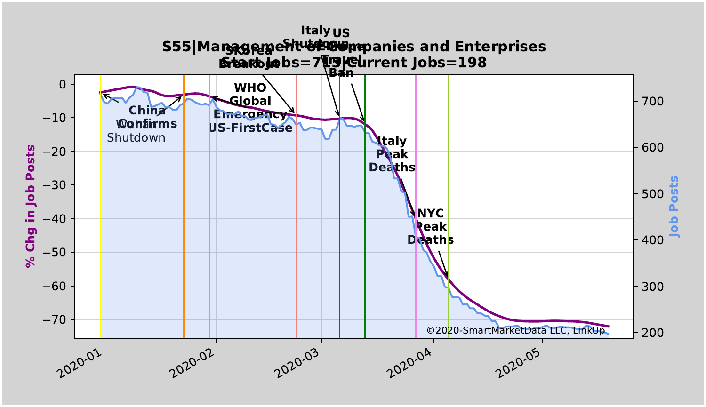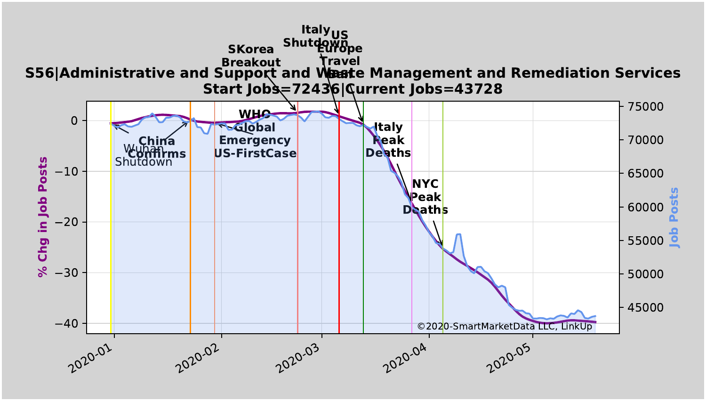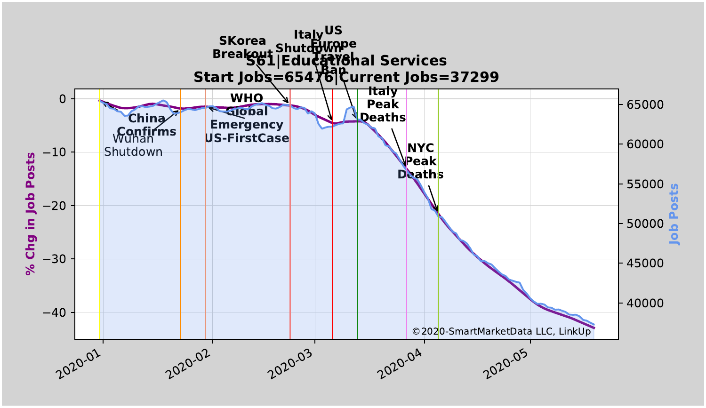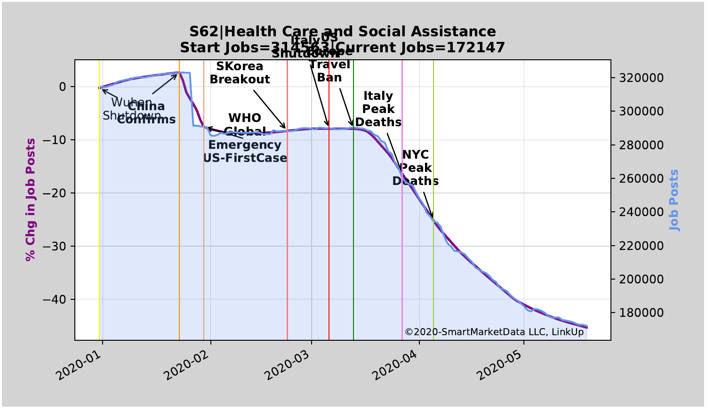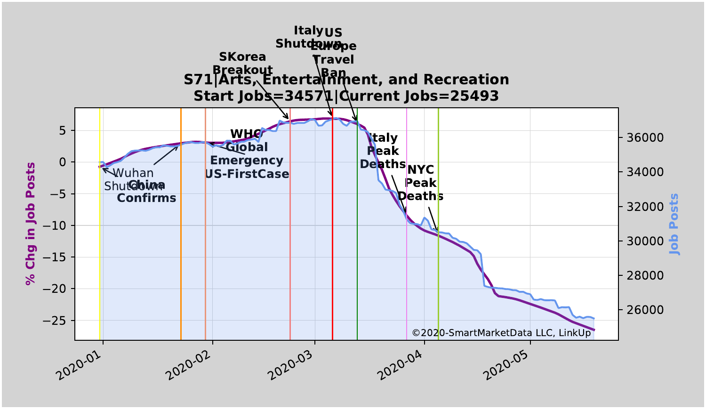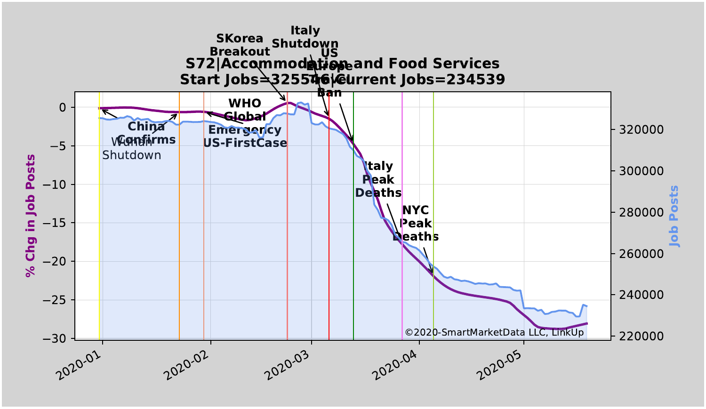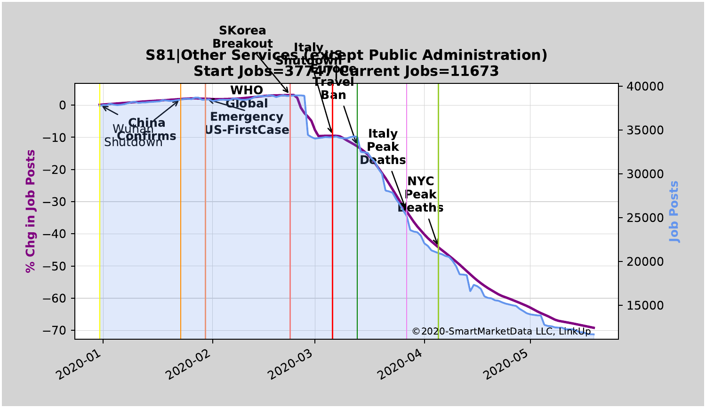